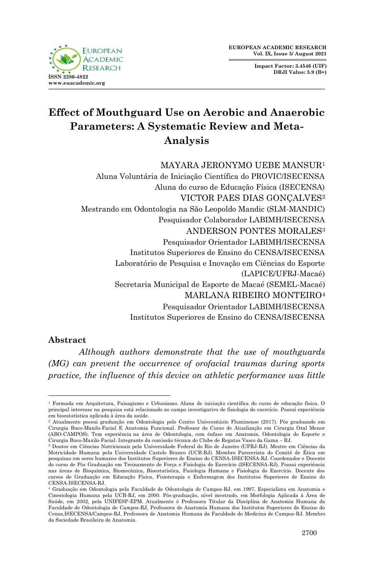

**Impact Factor: 3.4546 (UIF) DRJI Value: 5.9 (B+)**

# **Effect of Mouthguard Use on Aerobic and Anaerobic Parameters: A Systematic Review and Meta-Analysis**

MAYARA JERONYMO UEBE MANSUR<sup>1</sup> Aluna Voluntária de Iniciação Científica do PROVIC/ISECENSA Aluna do curso de Educação Física (ISECENSA) VICTOR PAES DIAS GONÇALVES<sup>2</sup> Mestrando em Odontologia na São Leopoldo Mandic (SLM-MANDIC) Pesquisador Colaborador LABIMH/ISECENSA ANDERSON PONTES MORALES<sup>3</sup> Pesquisador Orientador LABIMH/ISECENSA Institutos Superiores de Ensino do CENSA/ISECENSA Laboratório de Pesquisa e Inovação em Ciências do Esporte (LAPICE/UFRJ-Macaé) Secretaria Municipal de Esporte de Macaé (SEMEL-Macaé) MARLANA RIBEIRO MONTEIRO<sup>4</sup> Pesquisador Orientador LABIMH/ISECENSA

Institutos Superiores de Ensino do CENSA/ISECENSA

## **Abstract**

*Although authors demonstrate that the use of mouthguards (MG) can prevent the occurrence of orofacial traumas during sports practice, the influence of this device on athletic performance was little* 

<sup>1</sup> <sup>1</sup> Formada em Arquitetura, Paisagismo e Urbanismo. Aluna de iniciação científica do curso de educação física. O principal interesse na pesquisa está relacionado ao campo investigativo de fisiologia do exercício. Possuí experiência em bioestatística aplicada à área da saúde.

<sup>2</sup> Atualmente possui graduação em Odontologia pelo Centro Universitário Fluminense (2017). Pós graduando em Cirurgia Buco-Maxilo-Facial E Anatomia Funcional. Professor do Curso de Atualização em Cirurgia Oral Menor (ABO-CAMPOS). Tem experiência na área de Odontologia, com ênfase em Anatomia, Odontologia do Esporte e Cirurgia Buco-Maxilo-Facial. Integrante da comissão técnica do Clube de Regatas Vasco da Gama – RJ.

<sup>3</sup> Doutor em Ciências Nutricionais pela Universidade Federal do Rio de Janeiro (UFRJ-RJ). Mestre em Ciências da Motricidade Humana pela Universidade Castelo Branco (UCB-RJ). Membro Parecerista do Comitê de Ética em pesquisas em seres humanos dos Institutos Superiores de Ensino do CENSA-ISECENSA-RJ. Coordenador e Docente do curso de Pós Graduação em Treinamento de Força e Fisiologia do Exercício (ISECENSA-RJ). Possui experiência nas áreas de Bioquímica, Biomecânica, Bioestatística, Fisiologia Humana e Fisiologia do Exercício. Docente dos cursos de Graduação em Educação Física, Fisioterapia e Enfermagem dos Institutos Superiores de Ensino do CENSA-ISECENSA-RJ.

<sup>4</sup> Graduação em Odontologia pela Faculdade de Odontologia de Campos-RJ, em 1997. Especialista em Anatomia e Cinesiologia Humana pela UCB-RJ, em 2000. Pós-graduação, nível mestrado, em Morfologia Aplicada à Área de Saúde, em 2002, pela UNIFESP-EPM. Atualmente é Professora Titular da Disciplina de Anatomia Humana da Faculdade de Odontologia de Campos-RJ, Professora de Anatomia Humana dos Institutos Superiores de Ensino do Censa,ISECENSA/Campos-RJ, Professora de Anatomia Humana da Faculdade de Medicina de Campos-RJ. Membro da Sociedade Brasileira de Anatomia.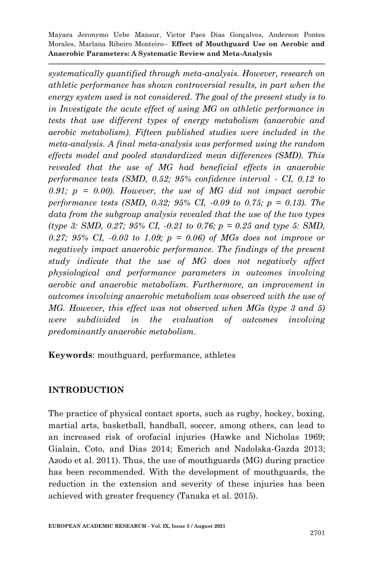*systematically quantified through meta-analysis. However, research on athletic performance has shown controversial results, in part when the energy system used is not considered. The goal of the present study is to in Investigate the acute effect of using MG on athletic performance in tests that use different types of energy metabolism (anaerobic and aerobic metabolism). Fifteen published studies were included in the meta-analysis. A final meta-analysis was performed using the random effects model and pooled standardized mean differences (SMD). This revealed that the use of MG had beneficial effects in anaerobic performance tests (SMD, 0.52; 95% confidence interval - CI, 0.12 to 0.91; p = 0.00). However, the use of MG did not impact aerobic performance tests (SMD, 0.32; 95% CI, -0.09 to 0.75; p = 0.13). The data from the subgroup analysis revealed that the use of the two types (type 3: SMD, 0.27; 95% CI, -0.21 to 0.76; p = 0.25 and type 5: SMD, 0.27; 95% CI, -0.03 to 1.09; p = 0.06) of MGs does not improve or negatively impact anaerobic performance. The findings of the present study indicate that the use of MG does not negatively affect physiological and performance parameters in outcomes involving aerobic and anaerobic metabolism. Furthermore, an improvement in outcomes involving anaerobic metabolism was observed with the use of MG. However, this effect was not observed when MGs (type 3 and 5) were subdivided in the evaluation of outcomes involving predominantly anaerobic metabolism.*

**Keywords**: mouthguard, performance, athletes

## **INTRODUCTION**

The practice of physical contact sports, such as rugby, hockey, boxing, martial arts, basketball, handball, soccer, among others, can lead to an increased risk of orofacial injuries (Hawke and Nicholas 1969; Gialain, Coto, and Dias 2014; Emerich and Nadolska-Gazda 2013; Azodo et al. 2011). Thus, the use of mouthguards (MG) during practice has been recommended. With the development of mouthguards, the reduction in the extension and severity of these injuries has been achieved with greater frequency (Tanaka et al. 2015).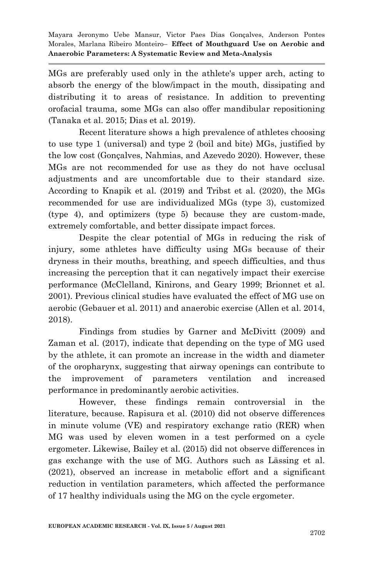MGs are preferably used only in the athlete's upper arch, acting to absorb the energy of the blow/impact in the mouth, dissipating and distributing it to areas of resistance. In addition to preventing orofacial trauma, some MGs can also offer mandibular repositioning (Tanaka et al. 2015; Dias et al. 2019).

Recent literature shows a high prevalence of athletes choosing to use type 1 (universal) and type 2 (boil and bite) MGs, justified by the low cost (Gonçalves, Nahmias, and Azevedo 2020). However, these MGs are not recommended for use as they do not have occlusal adjustments and are uncomfortable due to their standard size. According to Knapik et al. (2019) and Tribst et al. (2020), the MGs recommended for use are individualized MGs (type 3), customized (type 4), and optimizers (type 5) because they are custom-made, extremely comfortable, and better dissipate impact forces.

Despite the clear potential of MGs in reducing the risk of injury, some athletes have difficulty using MGs because of their dryness in their mouths, breathing, and speech difficulties, and thus increasing the perception that it can negatively impact their exercise performance (McClelland, Kinirons, and Geary 1999; Brionnet et al. 2001). Previous clinical studies have evaluated the effect of MG use on aerobic (Gebauer et al. 2011) and anaerobic exercise (Allen et al. 2014, 2018).

Findings from studies by Garner and McDivitt (2009) and Zaman et al. (2017), indicate that depending on the type of MG used by the athlete, it can promote an increase in the width and diameter of the oropharynx, suggesting that airway openings can contribute to the improvement of parameters ventilation and increased performance in predominantly aerobic activities.

However, these findings remain controversial in the literature, because. Rapisura et al. (2010) did not observe differences in minute volume (VE) and respiratory exchange ratio (RER) when MG was used by eleven women in a test performed on a cycle ergometer. Likewise, Bailey et al. (2015) did not observe differences in gas exchange with the use of MG. Authors such as Lässing et al. (2021), observed an increase in metabolic effort and a significant reduction in ventilation parameters, which affected the performance of 17 healthy individuals using the MG on the cycle ergometer.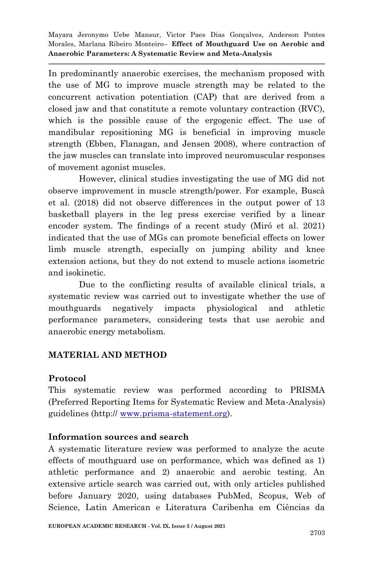In predominantly anaerobic exercises, the mechanism proposed with the use of MG to improve muscle strength may be related to the concurrent activation potentiation (CAP) that are derived from a closed jaw and that constitute a remote voluntary contraction (RVC), which is the possible cause of the ergogenic effect. The use of mandibular repositioning MG is beneficial in improving muscle strength (Ebben, Flanagan, and Jensen 2008), where contraction of the jaw muscles can translate into improved neuromuscular responses of movement agonist muscles.

However, clinical studies investigating the use of MG did not observe improvement in muscle strength/power. For example, Buscà et al. (2018) did not observe differences in the output power of 13 basketball players in the leg press exercise verified by a linear encoder system. The findings of a recent study (Miró et al. 2021) indicated that the use of MGs can promote beneficial effects on lower limb muscle strength, especially on jumping ability and knee extension actions, but they do not extend to muscle actions isometric and isokinetic.

Due to the conflicting results of available clinical trials, a systematic review was carried out to investigate whether the use of mouthguards negatively impacts physiological and athletic performance parameters, considering tests that use aerobic and anaerobic energy metabolism.

## **MATERIAL AND METHOD**

## **Protocol**

This systematic review was performed according to PRISMA (Preferred Reporting Items for Systematic Review and Meta-Analysis) guidelines (http:// [www.prisma-statement.org\)](http://www.prisma-statement.org/).

#### **Information sources and search**

A systematic literature review was performed to analyze the acute effects of mouthguard use on performance, which was defined as 1) athletic performance and 2) anaerobic and aerobic testing. An extensive article search was carried out, with only articles published before January 2020, using databases PubMed, Scopus, Web of Science, Latin American e Literatura Caribenha em Ciências da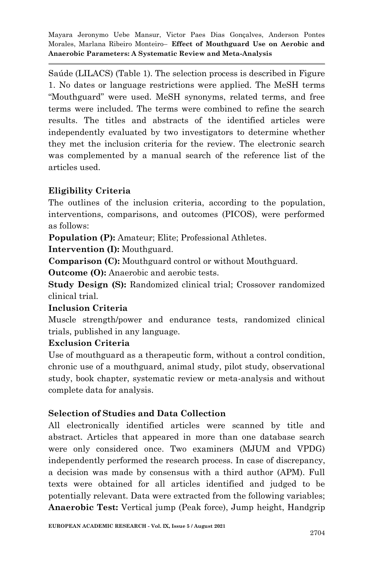Saúde (LILACS) (Table 1). The selection process is described in Figure 1. No dates or language restrictions were applied. The MeSH terms ―Mouthguard‖ were used. MeSH synonyms, related terms, and free terms were included. The terms were combined to refine the search results. The titles and abstracts of the identified articles were independently evaluated by two investigators to determine whether they met the inclusion criteria for the review. The electronic search was complemented by a manual search of the reference list of the articles used.

# **Eligibility Criteria**

The outlines of the inclusion criteria, according to the population, interventions, comparisons, and outcomes (PICOS), were performed as follows:

**Population (P):** Amateur; Elite; Professional Athletes.

**Intervention (I):** Mouthguard.

**Comparison (C):** Mouthguard control or without Mouthguard.

**Outcome (O):** Anaerobic and aerobic tests.

**Study Design (S):** Randomized clinical trial; Crossover randomized clinical trial.

# **Inclusion Criteria**

Muscle strength/power and endurance tests, randomized clinical trials, published in any language.

# **Exclusion Criteria**

Use of mouthguard as a therapeutic form, without a control condition, chronic use of a mouthguard, animal study, pilot study, observational study, book chapter, systematic review or meta-analysis and without complete data for analysis.

# **Selection of Studies and Data Collection**

All electronically identified articles were scanned by title and abstract. Articles that appeared in more than one database search were only considered once. Two examiners (MJUM and VPDG) independently performed the research process. In case of discrepancy, a decision was made by consensus with a third author (APM). Full texts were obtained for all articles identified and judged to be potentially relevant. Data were extracted from the following variables; **Anaerobic Test:** Vertical jump (Peak force), Jump height, Handgrip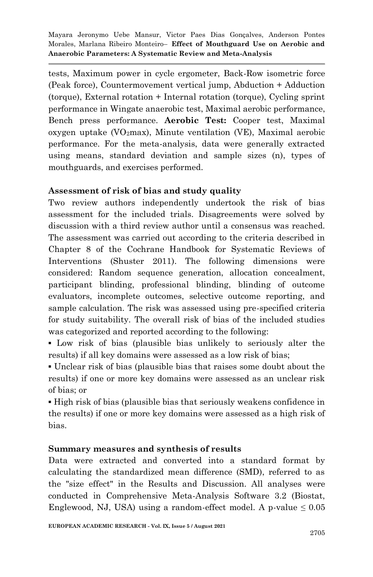tests, Maximum power in cycle ergometer, Back-Row isometric force (Peak force), Countermovement vertical jump, Abduction + Adduction (torque), External rotation + Internal rotation (torque), Cycling sprint performance in Wingate anaerobic test, Maximal aerobic performance, Bench press performance. **Aerobic Test:** Cooper test, Maximal oxygen uptake (VO2max), Minute ventilation (VE), Maximal aerobic performance. For the meta-analysis, data were generally extracted using means, standard deviation and sample sizes (n), types of mouthguards, and exercises performed.

# **Assessment of risk of bias and study quality**

Two review authors independently undertook the risk of bias assessment for the included trials. Disagreements were solved by discussion with a third review author until a consensus was reached. The assessment was carried out according to the criteria described in Chapter 8 of the Cochrane Handbook for Systematic Reviews of Interventions (Shuster 2011). The following dimensions were considered: Random sequence generation, allocation concealment, participant blinding, professional blinding, blinding of outcome evaluators, incomplete outcomes, selective outcome reporting, and sample calculation. The risk was assessed using pre-specified criteria for study suitability. The overall risk of bias of the included studies was categorized and reported according to the following:

▪ Low risk of bias (plausible bias unlikely to seriously alter the results) if all key domains were assessed as a low risk of bias;

▪ Unclear risk of bias (plausible bias that raises some doubt about the results) if one or more key domains were assessed as an unclear risk of bias; or

▪ High risk of bias (plausible bias that seriously weakens confidence in the results) if one or more key domains were assessed as a high risk of bias.

## **Summary measures and synthesis of results**

Data were extracted and converted into a standard format by calculating the standardized mean difference (SMD), referred to as the "size effect" in the Results and Discussion. All analyses were conducted in Comprehensive Meta-Analysis Software 3.2 (Biostat, Englewood, NJ, USA) using a random-effect model. A p-value  $\leq 0.05$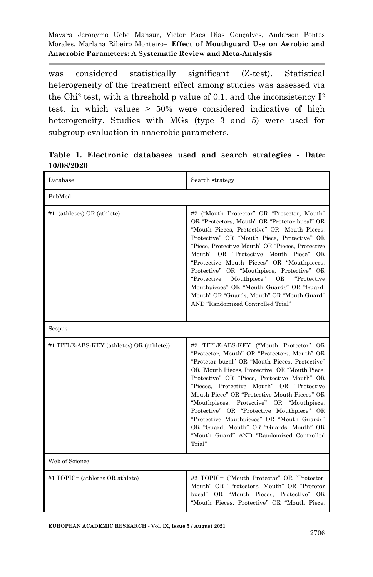was considered statistically significant (Z-test). Statistical heterogeneity of the treatment effect among studies was assessed via the Chi<sup>2</sup> test, with a threshold p value of 0.1, and the inconsistency  $I<sup>2</sup>$ test, in which values > 50% were considered indicative of high heterogeneity. Studies with MGs (type 3 and 5) were used for subgroup evaluation in anaerobic parameters.

| Database                                  | Search strategy                                                                                                                                                                                                                                                                                                                                                                                                                                                                                                                                                                 |
|-------------------------------------------|---------------------------------------------------------------------------------------------------------------------------------------------------------------------------------------------------------------------------------------------------------------------------------------------------------------------------------------------------------------------------------------------------------------------------------------------------------------------------------------------------------------------------------------------------------------------------------|
| PubMed                                    |                                                                                                                                                                                                                                                                                                                                                                                                                                                                                                                                                                                 |
| #1 (athletes) OR (athlete)                | #2 ("Mouth Protector" OR "Protector, Mouth"<br>OR "Protectors, Mouth" OR "Protetor bucal" OR<br>"Mouth Pieces, Protective" OR "Mouth Pieces,<br>Protective" OR "Mouth Piece, Protective" OR<br>"Piece, Protective Mouth" OR "Pieces, Protective<br>Mouth" OR "Protective Mouth Piece" OR<br>"Protective Mouth Pieces" OR "Mouthpieces,<br>Protective" OR "Mouthpiece, Protective" OR<br>"Protective<br>Mouthpiece"<br><b>OR</b><br>"Protective<br>Mouthpieces" OR "Mouth Guards" OR "Guard,<br>Mouth" OR "Guards, Mouth" OR "Mouth Guard"<br>AND "Randomized Controlled Trial"  |
| Scopus                                    |                                                                                                                                                                                                                                                                                                                                                                                                                                                                                                                                                                                 |
| #1 TITLE-ABS-KEY (athletes) OR (athlete)) | #2 TITLE-ABS-KEY ("Mouth Protector" OR<br>"Protector, Mouth" OR "Protectors, Mouth" OR<br>"Protetor bucal" OR "Mouth Pieces, Protective"<br>OR "Mouth Pieces, Protective" OR "Mouth Piece,<br>Protective" OR "Piece, Protective Mouth" OR<br>"Pieces, Protective Mouth" OR "Protective<br>Mouth Piece" OR "Protective Mouth Pieces" OR<br>"Mouthpieces, Protective" OR "Mouthpiece,<br>Protective" OR "Protective Mouthpiece" OR<br>"Protective Mouthpieces" OR "Mouth Guards"<br>OR "Guard, Mouth" OR "Guards, Mouth" OR<br>"Mouth Guard" AND "Randomized Controlled<br>Trial" |
| Web of Science                            |                                                                                                                                                                                                                                                                                                                                                                                                                                                                                                                                                                                 |
| #1 TOPIC= (athletes OR athlete)           | #2 TOPIC= ("Mouth Protector" OR "Protector,<br>Mouth" OR "Protectors, Mouth" OR "Protetor<br>bucal" OR "Mouth Pieces, Protective" OR<br>"Mouth Pieces, Protective" OR "Mouth Piece,                                                                                                                                                                                                                                                                                                                                                                                             |

**Table 1. Electronic databases used and search strategies - Date: 10/08/2020**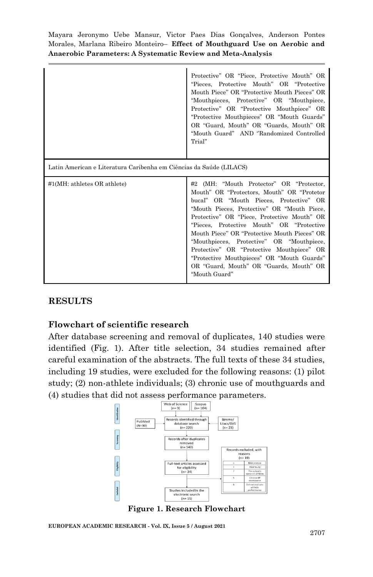|                                                                     | Protective" OR "Piece, Protective Mouth" OR<br>"Pieces, Protective Mouth" OR "Protective<br>Mouth Piece" OR "Protective Mouth Pieces" OR<br>"Mouthpieces, Protective" OR "Mouthpiece,<br>Protective" OR "Protective Mouthpiece" OR<br>"Protective Mouthpieces" OR "Mouth Guards"<br>OR "Guard, Mouth" OR "Guards, Mouth" OR<br>"Mouth Guard" AND "Randomized Controlled<br>Trial"                                                                                                                                                |
|---------------------------------------------------------------------|----------------------------------------------------------------------------------------------------------------------------------------------------------------------------------------------------------------------------------------------------------------------------------------------------------------------------------------------------------------------------------------------------------------------------------------------------------------------------------------------------------------------------------|
| Latin American e Literatura Caribenha em Ciências da Saúde (LILACS) |                                                                                                                                                                                                                                                                                                                                                                                                                                                                                                                                  |
| $#1(MH:$ athletes OR athlete)                                       | #2 (MH: "Mouth Protector" OR "Protector,<br>Mouth" OR "Protectors, Mouth" OR "Protetor<br>bucal" OR "Mouth Pieces, Protective" OR<br>"Mouth Pieces, Protective" OR "Mouth Piece,<br>Protective" OR "Piece, Protective Mouth" OR<br>"Pieces, Protective Mouth" OR "Protective<br>Mouth Piece" OR "Protective Mouth Pieces" OR<br>"Mouthpieces, Protective" OR "Mouthpiece,<br>Protective" OR "Protective Mouthpiece" OR<br>"Protective Mouthpieces" OR "Mouth Guards"<br>OR "Guard, Mouth" OR "Guards, Mouth" OR<br>"Mouth Guard" |

## **RESULTS**

## **Flowchart of scientific research**

After database screening and removal of duplicates, 140 studies were identified (Fig. 1). After title selection, 34 studies remained after careful examination of the abstracts. The full texts of these 34 studies, including 19 studies, were excluded for the following reasons: (1) pilot study; (2) non-athlete individuals; (3) chronic use of mouthguards and (4) studies that did not assess performance parameters.



**Figure 1. Research Flowchart**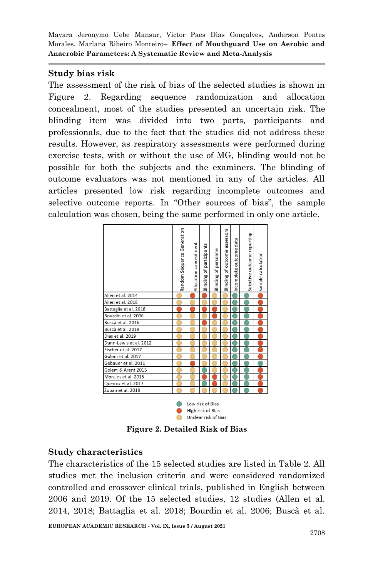#### **Study bias risk**

The assessment of the risk of bias of the selected studies is shown in Figure 2. Regarding sequence randomization and allocation concealment, most of the studies presented an uncertain risk. The blinding item was divided into two parts, participants and professionals, due to the fact that the studies did not address these results. However, as respiratory assessments were performed during exercise tests, with or without the use of MG, blinding would not be possible for both the subjects and the examiners. The blinding of outcome evaluators was not mentioned in any of the articles. All articles presented low risk regarding incomplete outcomes and selective outcome reports. In "Other sources of bias", the sample calculation was chosen, being the same performed in only one article.



**Figure 2. Detailed Risk of Bias**

Unclear risk of Bias

 $\bigcap$ 

## **Study characteristics**

The characteristics of the 15 selected studies are listed in Table 2. All studies met the inclusion criteria and were considered randomized controlled and crossover clinical trials, published in English between 2006 and 2019. Of the 15 selected studies, 12 studies [\(Allen et al.](https://paperpile.com/c/iWk1rM/Nr3t+l5nL+RAC4+dlKO+f1Fb+nONB+W1ka+hJ0p+jB1S+cV1s+lWwg+BOpL)  [2014, 2018; Battaglia et al. 2018; Bourdin et al. 2006; Buscà et al.](https://paperpile.com/c/iWk1rM/Nr3t+l5nL+RAC4+dlKO+f1Fb+nONB+W1ka+hJ0p+jB1S+cV1s+lWwg+BOpL)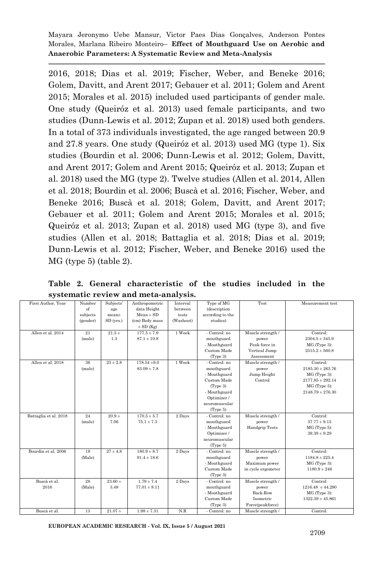[2016, 2018; Dias et al. 2019; Fischer, Weber, and Beneke 2016;](https://paperpile.com/c/iWk1rM/Nr3t+l5nL+RAC4+dlKO+f1Fb+nONB+W1ka+hJ0p+jB1S+cV1s+lWwg+BOpL)  [Golem, Davitt, and Arent 2017; Gebauer et al. 2011; Golem and Arent](https://paperpile.com/c/iWk1rM/Nr3t+l5nL+RAC4+dlKO+f1Fb+nONB+W1ka+hJ0p+jB1S+cV1s+lWwg+BOpL)  [2015; Morales et al. 2015\)](https://paperpile.com/c/iWk1rM/Nr3t+l5nL+RAC4+dlKO+f1Fb+nONB+W1ka+hJ0p+jB1S+cV1s+lWwg+BOpL) included used participants of gender male. One study [\(Queiróz et al. 2013\)](https://paperpile.com/c/iWk1rM/DdLF) used female participants, and two studies [\(Dunn-Lewis et al. 2012;](https://paperpile.com/c/iWk1rM/HoHi+Zr3O) Zupan et al. 2018) used both genders. In a total of 373 individuals investigated, the age ranged between 20.9 and 27.8 years. One study [\(Queiróz et al. 2013\)](https://paperpile.com/c/iWk1rM/DdLF) used MG (type 1). Six studies [\(Bourdin et al. 2006; Dunn-Lewis et al. 2012; Golem, Davitt,](https://paperpile.com/c/iWk1rM/dlKO+HoHi+jB1S+lWwg+DdLF+Zr3O)  [and Arent 2017; Golem and Arent 2015; Queiróz et al. 2013; Zupan et](https://paperpile.com/c/iWk1rM/dlKO+HoHi+jB1S+lWwg+DdLF+Zr3O)  [al. 2018\)](https://paperpile.com/c/iWk1rM/dlKO+HoHi+jB1S+lWwg+DdLF+Zr3O) used the MG (type 2). Twelve studies [\(Allen et al. 2014, Allen](https://paperpile.com/c/iWk1rM/Nr3t+l5nL+dlKO+f1Fb+hJ0p+nONB)  [et al. 2018; Bourdin et al. 2006; Buscà et al. 2016; Fischer, Weber, and](https://paperpile.com/c/iWk1rM/Nr3t+l5nL+dlKO+f1Fb+hJ0p+nONB)  [Beneke 2016; Buscà et al. 2018;](https://paperpile.com/c/iWk1rM/Nr3t+l5nL+dlKO+f1Fb+hJ0p+nONB) [Golem, Davitt, and Arent 2017;](https://paperpile.com/c/iWk1rM/Nr3t+l5nL+dlKO+f1Fb+hJ0p+nONB)  [Gebauer et al. 2011; Golem and Arent 2015; Morales et al. 2015;](https://paperpile.com/c/iWk1rM/jB1S+cV1s+lWwg+BOpL+DdLF+Zr3O)  [Queiróz et al. 2013; Zupan et al. 2018\)](https://paperpile.com/c/iWk1rM/jB1S+cV1s+lWwg+BOpL+DdLF+Zr3O) used MG (type 3), and five studies [\(Allen et al. 2018; Battaglia et al. 2018; Dias et al. 2019;](https://paperpile.com/c/iWk1rM/l5nL+RAC4+W1ka+HoHi+hJ0p)  [Dunn-Lewis et al. 2012; Fischer, Weber, and Beneke 2016\)](https://paperpile.com/c/iWk1rM/l5nL+RAC4+W1ka+HoHi+hJ0p) used the MG (type 5) (table 2).

| First Author, Year    | Number   | Subjects'         | Anthropometric   | Interval  | Type of MG       | Test                  | Measurement test     |
|-----------------------|----------|-------------------|------------------|-----------|------------------|-----------------------|----------------------|
|                       | of       | age               | data Height      | between   | (description     |                       |                      |
|                       | subjects | mean <sup>±</sup> | $Mean \pm SD$    | tests     | according to the |                       |                      |
|                       | (gender) | $SD$ (yrs.)       | (cm) Body mass   | (Washout) | studies)         |                       |                      |
|                       |          |                   | $\pm$ SD (Kg)    |           |                  |                       |                      |
| Allen et al. 2014     | 21       | $21.5 +$          | $177.5 \pm 7.9$  | 1 Week    | - Control: no    | Muscle strength /     | Control:             |
|                       | (male)   | 1.3               | $87.1 \pm 10.8$  |           | mouthguard       | power                 | $2304.5 \pm 345.9$   |
|                       |          |                   |                  |           | - Mouthguard     | Peak force in         | MG (Type 3):         |
|                       |          |                   |                  |           | Custom Made      | Vertical Jump         | $2515.2 \pm 560.8$   |
|                       |          |                   |                  |           | (Type 3)         | Assessment            |                      |
| Allen et al. 2018     | 36       | $23 \pm 2.8$      | $178.54 \pm 9.0$ | 1 Week    | - Control: no    | Muscle strength /     | Control:             |
|                       | (male)   |                   | $83.09 \pm 7.8$  |           | mouthguard       | power                 | $2185.30 \pm 263.76$ |
|                       |          |                   |                  |           | - Mouthguard     | Jump Height           | MG (Type 3):         |
|                       |          |                   |                  |           | Custom Made      | Control               | $2177.85 \pm 292.14$ |
|                       |          |                   |                  |           | (Type 3)         |                       | $MG$ (Type 5):       |
|                       |          |                   |                  |           | - Mouthguard     |                       | $2148.79 \pm 276.30$ |
|                       |          |                   |                  |           | Optimizer /      |                       |                      |
|                       |          |                   |                  |           | neuromuscular    |                       |                      |
|                       |          |                   |                  |           | (Type 5)         |                       |                      |
| Battaglia et al. 2018 | 24       | $20.9 +$          | $170.5 \pm 5.7$  | 2 Days    | - Control: no    | Muscle strength /     | Control:             |
|                       | (male)   | 7.06              | $75.1 \pm 7.3$   |           | mouthguard       | power                 | $37.77 \pm 9.15$     |
|                       |          |                   |                  |           | - Mouthguard     | <b>Handgrip Tests</b> | $MG$ (Typo 5):       |
|                       |          |                   |                  |           | Optimizer /      |                       | $39.39 \pm 9.29$     |
|                       |          |                   |                  |           | neuromuscular    |                       |                      |
|                       |          |                   |                  |           | (Type 5)         |                       |                      |
| Bourdin et al. 2006   | 19       | $27 \pm 4.8$      | $180.9 \pm 8.7$  | 2 Days    | - Control: no    | Muscle strength /     | Control:             |
|                       | (Male)   |                   | $91.4 \pm 18.6$  |           | mouthguard       | power                 | $1184.8 \pm 225.4$   |
|                       |          |                   |                  |           | - Mouthguard     | Maximum power         | $MG$ (Type 3):       |
|                       |          |                   |                  |           | Custom Made      | in cycle ergometer    | $1180.9 \pm 246$     |
|                       |          |                   |                  |           | (Type 3)         |                       |                      |
| Buscà et al.          | 28       | $23.60 +$         | $1.79 \pm 7.4$   | 2 Days    | - Control: no    | Muscle strength /     | Control:             |
| 2016                  | (Male)   | 3.48              | $77.01 \pm 8.11$ |           | mouthguard       | power                 | $1216.48 \pm 44.290$ |
|                       |          |                   |                  |           | - Mouthguard     | Back-Row              | MG (Type 3):         |
|                       |          |                   |                  |           | Custom Made      | Isometric             | $1322.39 \pm 45.861$ |
|                       |          |                   |                  |           | (Type 3)         | Force(peakforce)      |                      |
| Buscà et al.          | 13       | $21.07 \pm$       | $1.98 \pm 7.31$  | N.R       | - Control: no    | Muscle strength /     | Control:             |

**Table 2. General characteristic of the studies included in the systematic review and meta-analysis.**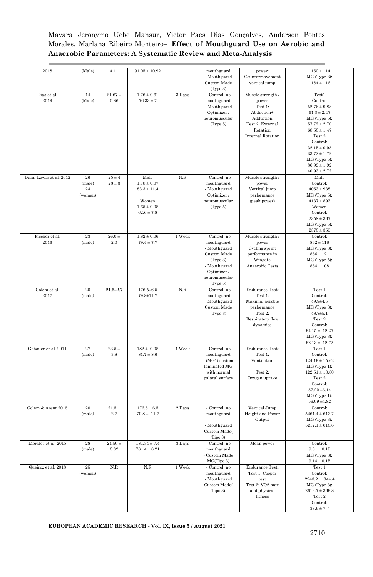| 2018                   | (Male)                                    | 4.11                    | $91.05 \pm 10.92$                                                                        |                     | mouthguard<br>- Mouthguard<br>Custom Made<br>(Type 3)                                                                              | power:<br>Countermovement<br>vertical jump                                                                                   | $1160 \pm 114$<br>MG (Type 3):<br>$1184 \pm 116$                                                                                                                                                                                      |
|------------------------|-------------------------------------------|-------------------------|------------------------------------------------------------------------------------------|---------------------|------------------------------------------------------------------------------------------------------------------------------------|------------------------------------------------------------------------------------------------------------------------------|---------------------------------------------------------------------------------------------------------------------------------------------------------------------------------------------------------------------------------------|
| Dias et al.<br>2019    | 14<br>(Male)                              | $21.67 \pm$<br>0.86     | $1.76 \pm 0.61$<br>$76.33 \pm 7$                                                         | 3 Days              | - Control: no<br>mouthguard<br>- Mouthguard<br>Optimizer /<br>neuromuscular<br>(Type 5)                                            | Muscle strength /<br>power<br>Test 1:<br>Abduction+<br>Adduction<br>Test 2: External<br>Rotation<br><b>Internal Rotation</b> | Test1<br>Control<br>$52.76 \pm 9.88$<br>$61.3 \pm 2.47$<br>MG (Type 5):<br>$57.72 \pm 2.70$<br>$68.53 \pm 1.47$<br>Test 2<br>Control:<br>$32.15 \pm 0.95$<br>$33.72 \pm 1.79$<br>MG (Type 5):<br>$36.99 \pm 1.92$<br>$40.93 \pm 2.72$ |
| Dunn-Lewis et al. 2012 | $\bf 26$<br>(male)<br>$\bf 24$<br>(women) | $25 \pm 4$<br>$23\pm3$  | Male<br>$1.78 \pm 0.07$<br>$83.3 \pm 11.4$<br>Women<br>$1.65 \pm 0.08$<br>$62.6 \pm 7.8$ | N.R                 | - Control: no<br>mouthguard<br>- Mouthguard<br>Optimizer /<br>neuromuscular<br>(Type 5)                                            | Muscle strength /<br>power<br>Vertical jump<br>performance<br>(peak power)                                                   | Male<br>Control:<br>$4053 \pm 938$<br>MG (Type 5):<br>$4137 \pm 893$<br>Women<br>Control:<br>$2358 \pm 367$<br>MG (Type 5):<br>$2373 \pm 350$                                                                                         |
| Fischer et al.<br>2016 | $\rm 23$<br>(male)                        | $26.0\ \pm$<br>2.0      | $1.82 \pm 0.06$<br>$79.4 \pm 7.7$                                                        | 1 Week              | - Control: no<br>mouthguard<br>- Mouthguard<br>Custom Made<br>(Type 3)<br>- Mouthguard<br>Optimizer /<br>neuromuscular<br>(Type 5) | Muscle strength /<br>power<br>Cycling sprint<br>performance in<br>Wingate<br>Anaerobic Tests                                 | Control:<br>$862 \pm 118$<br>MG (Type 3):<br>$866 \pm 121$<br>MG (Type 5):<br>$864 \pm 108$                                                                                                                                           |
| Golem et al.<br>2017   | 20<br>(male)                              | $21.5 + 2.7$            | $176.5 \pm 6.5$<br>79.8±11.7                                                             | N.R                 | - Control: no<br>mouthguard<br>- Mouthguard<br>Custom Made<br>(Type 3)                                                             | <b>Endurance Test:</b><br>Test 1:<br>Maximal aerobic<br>performance<br>Test 2:<br>Respiratory flow<br>dynamics               | Test 1<br>Control:<br>$49.9 + 4.5$<br>MG (Type 3):<br>$48.7 \pm 5.1$<br>Test 2<br>Control:<br>$94.15 \pm 18.27$<br>MG (Type 3):<br>$92.13 \pm 18.72$                                                                                  |
| Gebauer et al. 2011    | 27<br>(male)                              | $23.5$ $\pm$<br>$3.8\,$ | $182 \pm 0.08$<br>$81.7 \pm 8.6$                                                         | $1\;\mathrm{Week}$  | - Control: no<br>mouthguard<br>- (MG1) custom<br>laminated MG<br>with normal<br>palatal surface                                    | <b>Endurance Test:</b><br>Test 1:<br>Ventilation<br>Test 2:<br>Oxygen uptake                                                 | Test 1<br>Control:<br>$124.19 \pm 15.62$<br>MG (Type 1):<br>$122.51 \pm 18.80$<br>Test 2<br>Control:<br>$57.22 \pm 6.14$<br>MG (Type 1):<br>$56.09 \pm 4.82$                                                                          |
| Golem & Arent 2015     | 20<br>(male)                              | $21.5 +$<br>$2.7\,$     | $176.5 \pm 6.5$<br>$79.8 \pm 11.7$                                                       | 2 Days              | - Control: no<br>mouthguard<br>- Mouthguard<br>Custom Made(<br>Tipo 3)                                                             | Vertical Jump<br>Height and Power<br>Output                                                                                  | Control:<br>$5261.4 \pm 613.7$<br>MG (Type 3):<br>$5212.1 \pm 613.6$                                                                                                                                                                  |
| Morales et al. 2015    | 28<br>(male)                              | $24.50$ $\pm$<br>3.32   | $181.34 \pm 7.4$<br>$78.14 \pm 8.21$                                                     | $\overline{3}$ Days | - Control: no<br>mouthguard<br>- Custom Made<br>MG(Tipo 3)                                                                         | Mean power                                                                                                                   | Control:<br>$9.01 \pm 0.15$<br>MG (Type 3):<br>$9.14 \pm 0.15$                                                                                                                                                                        |
| Queiroz et al. 2013    | $\rm 25$<br>(women)                       | N.R                     | N.R                                                                                      | 1 Week              | - Control: no<br>mouthguard<br>- Mouthguard<br>Custom Made(<br>Tipo 3)                                                             | <b>Endurance Test:</b><br>Test 1: Cooper<br>test<br>Test 2: VO2 max<br>and physical<br>fitness                               | Test 1<br>Control:<br>$2243.2 \pm 344.4$<br>MG (Type 3):<br>$2612.7 \pm 369.8$<br>Test 2<br>Control:<br>$38.6 \pm 7.7$                                                                                                                |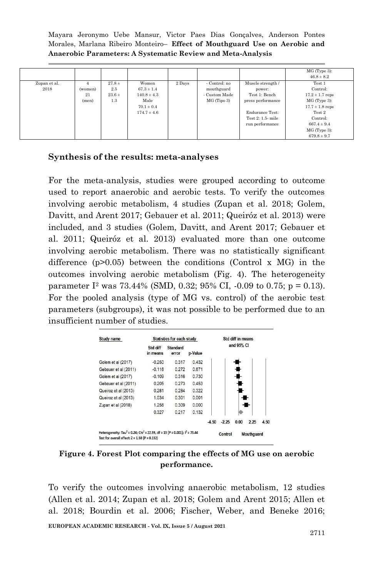|                      |                             |                                      |                                                                                         |        |                                                             |                                                                                                                                     | MG (Type 3):<br>$46.8 \pm 8.2$                                                                                                                                 |
|----------------------|-----------------------------|--------------------------------------|-----------------------------------------------------------------------------------------|--------|-------------------------------------------------------------|-------------------------------------------------------------------------------------------------------------------------------------|----------------------------------------------------------------------------------------------------------------------------------------------------------------|
| Zupan et al.<br>2018 | 4<br>(women)<br>21<br>(men) | $27.8 +$<br>2.5<br>$23.6 \pm$<br>1.3 | Women<br>$67.3 \pm 1.4$<br>$140.8 \pm 4.3$<br>Male<br>$70.1 \pm 0.4$<br>$174.7 \pm 4.6$ | 2 Days | - Control: no<br>mouthguard<br>- Custom Made<br>MG (Tipo 3) | Muscle strength /<br>power:<br>Test 1: Bench<br>press performance<br><b>Endurance Test:</b><br>Test 2: 1.5- mile<br>run performance | Test 1<br>Control:<br>$17.2 \pm 1.7$ reps<br>MG (Type 3):<br>$17.7 \pm 1.8$ reps<br>Test 2<br>Control:<br>$667.4 \pm 9.4$<br>$MG$ (Type 3):<br>$679.8 \pm 9.7$ |

#### **Synthesis of the results: meta-analyses**

For the meta-analysis, studies were grouped according to outcome used to report anaerobic and aerobic tests. To verify the outcomes involving aerobic metabolism, 4 studies [\(Zupan et al. 2018; Golem,](https://paperpile.com/c/iWk1rM/Zr3O+jB1S+cV1s+DdLF)  [Davitt, and Arent 2017; Gebauer et al. 2011; Queiróz et al. 2013\)](https://paperpile.com/c/iWk1rM/Zr3O+jB1S+cV1s+DdLF) were included, and 3 studies [\(Golem, Davitt, and Arent 2017; Gebauer et](https://paperpile.com/c/iWk1rM/Zr3O+jB1S+cV1s+DdLF)  [al. 2011; Queiróz et al. 2013\)](https://paperpile.com/c/iWk1rM/Zr3O+jB1S+cV1s+DdLF) evaluated more than one outcome involving aerobic metabolism. There was no statistically significant difference  $(p>0.05)$  between the conditions (Control x MG) in the outcomes involving aerobic metabolism (Fig. 4). The heterogeneity parameter I<sup>2</sup> was 73.44% (SMD, 0.32; 95% CI, -0.09 to 0.75; p = 0.13). For the pooled analysis (type of MG vs. control) of the aerobic test parameters (subgroups), it was not possible to be performed due to an insufficient number of studies.

| Study name                                                                                                                                                |                      | Statistics for each study | Std diff in means |         |         |            |            |      |
|-----------------------------------------------------------------------------------------------------------------------------------------------------------|----------------------|---------------------------|-------------------|---------|---------|------------|------------|------|
|                                                                                                                                                           | Std diff<br>in means | Standard<br>error         | p-Value           |         |         | and 95% CI |            |      |
| Golem et al (2017)                                                                                                                                        | $-0.250$             | 0.317                     | 0.432             |         |         |            |            |      |
| Gebauer et al (2011)                                                                                                                                      | $-0.116$             | 0.272                     | 0.671             |         |         |            |            |      |
| Golem et al (2017)                                                                                                                                        | $-0.109$             | 0.316                     | 0.730             |         |         |            |            |      |
| Gebauer et al (2011)                                                                                                                                      | 0.205                | 0.273                     | 0.453             |         |         |            |            |      |
| Queiroz et al (2013)                                                                                                                                      | 0.281                | 0.284                     | 0.322             |         |         |            |            |      |
| Queiroz et al (2013)                                                                                                                                      | 1.034                | 0.301                     | 0.001             |         |         |            |            |      |
| Zupan et al (2018)                                                                                                                                        | 1.256                | 0.309                     | 0.000             |         |         |            | -          |      |
|                                                                                                                                                           | 0.327                | 0.217                     | 0.132             |         |         |            |            |      |
|                                                                                                                                                           |                      |                           |                   | $-4.50$ | $-2.25$ | 0.00       | 2.25       | 4.50 |
| Heterogeneity: Tau <sup>2</sup> = 0.24; Chi <sup>2</sup> = 22.59, df = 13 (P = 0.001); $1^2$ = 73.44<br>Test for overall effect: $Z = 1.50$ $(P = 0.132)$ |                      |                           |                   |         | Control |            | Mouthquard |      |

**Figure 4. Forest Plot comparing the effects of MG use on aerobic performance.**

To verify the outcomes involving anaerobic metabolism, 12 studies [\(Allen et al. 2014; Zupan et al. 2018; Golem and Arent 2015; Allen et](https://paperpile.com/c/iWk1rM/Nr3t+Zr3O+lWwg+l5nL+dlKO+hJ0p+HoHi+RAC4+nONB+BOpL+W1ka+f1Fb)  [al. 2018; Bourdin et al. 2006; Fischer, Weber, and Beneke 2016;](https://paperpile.com/c/iWk1rM/Nr3t+Zr3O+lWwg+l5nL+dlKO+hJ0p+HoHi+RAC4+nONB+BOpL+W1ka+f1Fb)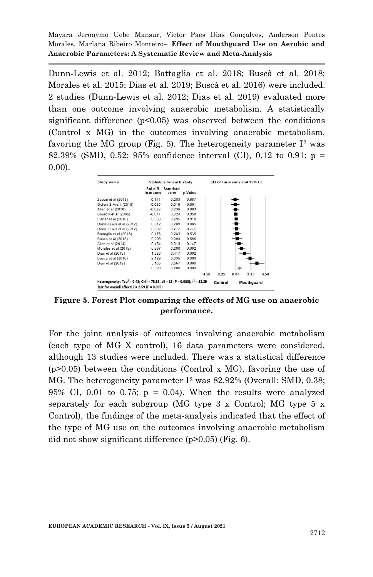[Dunn-Lewis et al. 2012; Battaglia et al. 2018; Buscà et al. 2018;](https://paperpile.com/c/iWk1rM/Nr3t+Zr3O+lWwg+l5nL+dlKO+hJ0p+HoHi+RAC4+nONB+BOpL+W1ka+f1Fb)  [Morales et al. 2015; Dias et al. 2019; Buscà et al. 2016\)](https://paperpile.com/c/iWk1rM/Nr3t+Zr3O+lWwg+l5nL+dlKO+hJ0p+HoHi+RAC4+nONB+BOpL+W1ka+f1Fb) were included. 2 studies [\(Dunn-Lewis et al. 2012; Dias et al. 2019\)](https://paperpile.com/c/iWk1rM/HoHi+W1ka) evaluated more than one outcome involving anaerobic metabolism. A statistically significant difference  $(p<0.05)$  was observed between the conditions (Control x MG) in the outcomes involving anaerobic metabolism, favoring the MG group (Fig. 5). The heterogeneity parameter  $I<sup>2</sup>$  was 82.39% (SMD, 0.52; 95% confidence interval (CI), 0.12 to 0.91; p = 0.00).

|                      | <b>Statistics for each study</b> |         |         | Std diff in means and 95% CI |      |      |      |
|----------------------|----------------------------------|---------|---------|------------------------------|------|------|------|
| Std diff<br>in means | Standard<br>error                | p-Value |         |                              |      |      |      |
| $-0.114$             | 0.283                            | 0.687   |         |                              |      |      |      |
| $-0.080$             | 0.316                            | 0.801   |         |                              |      |      |      |
| $-0.029$             | 0.236                            | 0.903   |         |                              |      |      |      |
| $-0.017$             | 0.324                            | 0.958   |         |                              |      |      |      |
| 0.033                | 0.295                            | 0.910   |         |                              |      |      |      |
| 0.042                | 0.289                            | 0.885   |         |                              |      |      |      |
| 0.092                | 0.277                            | 0.741   |         |                              |      |      |      |
| 0.176                | 0.283                            | 0.535   |         |                              |      |      |      |
| 0.209                | 0.393                            | 0.596   |         |                              |      |      |      |
| 0.454                | 0.313                            | 0.147   |         |                              |      |      |      |
| 0.867                | 0.280                            | 0.002   |         |                              |      |      |      |
| 1.323                | 0.417                            | 0.002   |         |                              |      |      |      |
| 2.129                | 0.335                            | 0.000   |         |                              |      |      |      |
| 3.165                | 0.567                            | 0.000   |         |                              |      |      |      |
| 0.520                | 0.200                            | 0.009   |         |                              |      |      |      |
|                      |                                  |         | $-4.50$ | $-2.25$                      | 0.00 | 2.25 | 4.50 |
|                      |                                  |         |         |                              |      |      |      |

**Figure 5. Forest Plot comparing the effects of MG use on anaerobic performance.**

For the joint analysis of outcomes involving anaerobic metabolism (each type of MG X control), 16 data parameters were considered, although 13 studies were included. There was a statistical difference (p>0.05) between the conditions (Control x MG), favoring the use of MG. The heterogeneity parameter I<sup>2</sup> was 82.92% (Overall: SMD, 0.38; 95% CI, 0.01 to 0.75;  $p = 0.04$ ). When the results were analyzed separately for each subgroup (MG type 3 x Control; MG type 5 x Control), the findings of the meta-analysis indicated that the effect of the type of MG use on the outcomes involving anaerobic metabolism did not show significant difference (p>0.05) (Fig. 6).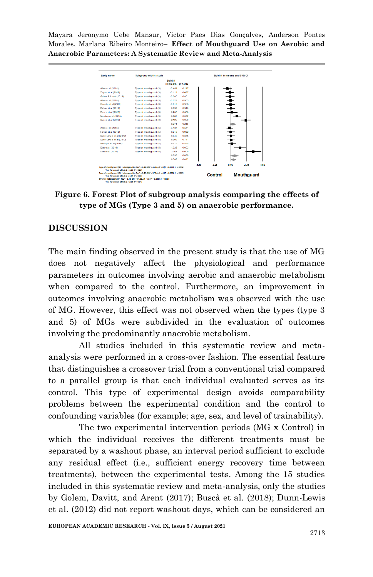| Study name                                       | Subgroup within study                                                                                                   |                              |       |         |         | Std diff in means and 95% Cl |                   |      |
|--------------------------------------------------|-------------------------------------------------------------------------------------------------------------------------|------------------------------|-------|---------|---------|------------------------------|-------------------|------|
|                                                  |                                                                                                                         | Std diff<br>in means p-Value |       |         |         |                              |                   |      |
| Allen et al (2014)                               | Type of mouthquard (3)                                                                                                  | $-0.454$                     | 0.147 |         |         |                              |                   |      |
| Zupan et al (2018)                               | Type of mouthquard (3)                                                                                                  | $-0.114$                     | 0.687 |         |         |                              |                   |      |
| Golem & Arent (2015)                             | Type of mouthouard (3)                                                                                                  | $-0.080$                     | 0.801 |         |         |                              |                   |      |
| Allen et al (2018)                               | Type of mouthquard (3)                                                                                                  | $-0.029$                     | 0.903 |         |         |                              |                   |      |
| Bourdin et al (2006)                             | Type of mouthquard (3)                                                                                                  | $-0.017$                     | 0.958 |         |         |                              |                   |      |
| Fisher et al (2016)                              | Type of mouthquard (3)                                                                                                  | 0.033                        | 0.910 |         |         |                              |                   |      |
| Busca et al (2018)                               | Type of mouthquard (3)                                                                                                  | 0.209                        | 0.598 |         |         |                              |                   |      |
| Morales et al (2015)                             | Type of mouthquard (3)                                                                                                  | 0.867                        | 0.002 |         |         |                              |                   |      |
| Busca et al (2016)                               | Type of mouthquard (3)                                                                                                  | 2.129                        | 0.000 |         |         |                              |                   |      |
|                                                  |                                                                                                                         | 0.276                        | 0.258 |         |         |                              |                   |      |
| Allen et al (2018)                               | Type of mouthquard (5)                                                                                                  | $-0.137$                     | 0.561 |         |         |                              |                   |      |
| Fisher et al (2016)                              | Type of mouthouard (5)                                                                                                  | 0.018                        | 0.952 |         |         |                              |                   |      |
| Dunn-Lew is et al (2012)                         | Type of mouthquard (5)                                                                                                  | 0.042                        | 0 AAS |         |         |                              |                   |      |
| Dunn-Lew is et al (2012)                         | Type of mouthquard (5)                                                                                                  | 0.092                        | 0.741 |         |         |                              |                   |      |
| Battaglia et al (2018)                           | Type of mouthouard (5)                                                                                                  | 0.176                        | 0.535 |         |         |                              |                   |      |
| Dias et al (2019)                                | Type of mouthquard (5)                                                                                                  | 1,323                        | 0.002 |         |         |                              |                   |      |
| Dias et al (2019)                                | Type of mouthquard (5)                                                                                                  | 3.165                        | 0.000 |         |         |                              |                   |      |
|                                                  |                                                                                                                         | 0.538                        | 0.089 |         |         |                              |                   |      |
|                                                  |                                                                                                                         | 0.383                        | 0.042 |         |         |                              |                   |      |
|                                                  |                                                                                                                         |                              |       | $-4.50$ | $-225$  | 0.00                         | 2.25              | 4.50 |
| Test for overall effect: $Z = 1.10$ $IP = 0.261$ | Type of mouthquard (3): Heterogeneity: Tau <sup>2</sup> = 0.44; Chi <sup>2</sup> = 46.86, df = 8 (P = 0.000): P = 82.92 |                              |       |         |         |                              |                   |      |
|                                                  | Type of mouthguard (5): Heterogeneity: Tau! = 0.49; Chi! = 37.24, df = 6 (P = 0.000); i! = 83.89                        |                              |       |         |         |                              |                   |      |
| Test for overall effect: $Z = 1.85$ $ P = 0.06 $ |                                                                                                                         |                              |       |         | Control |                              | <b>Mouthquard</b> |      |

**Figure 6. Forest Plot of subgroup analysis comparing the effects of type of MGs (Type 3 and 5) on anaerobic performance.**

#### **DISCUSSION**

The main finding observed in the present study is that the use of MG does not negatively affect the physiological and performance parameters in outcomes involving aerobic and anaerobic metabolism when compared to the control. Furthermore, an improvement in outcomes involving anaerobic metabolism was observed with the use of MG. However, this effect was not observed when the types (type 3 and 5) of MGs were subdivided in the evaluation of outcomes involving the predominantly anaerobic metabolism.

All studies included in this systematic review and metaanalysis were performed in a cross-over fashion. The essential feature that distinguishes a crossover trial from a conventional trial compared to a parallel group is that each individual evaluated serves as its control. This type of experimental design avoids comparability problems between the experimental condition and the control to confounding variables (for example; age, sex, and level of trainability).

The two experimental intervention periods (MG x Control) in which the individual receives the different treatments must be separated by a washout phase, an interval period sufficient to exclude any residual effect (i.e., sufficient energy recovery time between treatments), between the experimental tests. Among the 15 studies included in this systematic review and meta-analysis, only the studies by [Golem, Davitt, and Arent \(2017\);](https://paperpile.com/c/iWk1rM/jB1S) [Buscà et al. \(2018\);](https://paperpile.com/c/iWk1rM/nONB) [Dunn-Lewis](https://paperpile.com/c/iWk1rM/HoHi)  [et al. \(2012\)](https://paperpile.com/c/iWk1rM/HoHi) did not report washout days, which can be considered an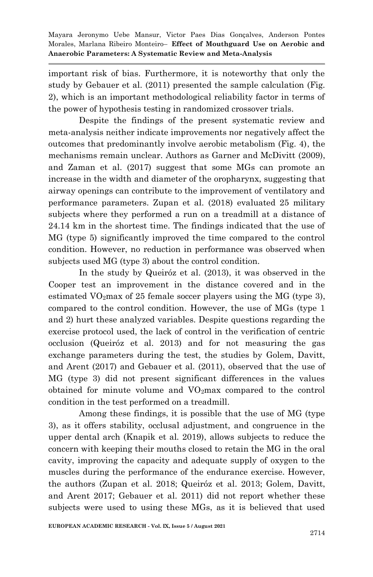important risk of bias. Furthermore, it is noteworthy that only the study by [Gebauer et al. \(2011\)](https://paperpile.com/c/iWk1rM/cV1s) presented the sample calculation (Fig. 2), which is an important methodological reliability factor in terms of the power of hypothesis testing in randomized crossover trials.

Despite the findings of the present systematic review and meta-analysis neither indicate improvements nor negatively affect the outcomes that predominantly involve aerobic metabolism (Fig. 4), the mechanisms remain unclear. Authors as [Garner and McDivitt \(2009\),](https://paperpile.com/c/iWk1rM/MQ7h+43gj)  and [Zaman et al. \(2017\)](https://paperpile.com/c/iWk1rM/MQ7h+43gj) suggest that some MGs can promote an increase in the width and diameter of the oropharynx, suggesting that airway openings can contribute to the improvement of ventilatory and performance parameters. [Zupan et al. \(2018\)](https://paperpile.com/c/iWk1rM/Zr3O) evaluated 25 military subjects where they performed a run on a treadmill at a distance of 24.14 km in the shortest time. The findings indicated that the use of MG (type 5) significantly improved the time compared to the control condition. However, no reduction in performance was observed when subjects used MG (type 3) about the control condition.

In the study by [Queiróz et al. \(2013\),](https://paperpile.com/c/iWk1rM/DdLF) it was observed in the Cooper test an improvement in the distance covered and in the estimated  $VO<sub>2</sub>max$  of 25 female soccer players using the MG (type 3), compared to the control condition. However, the use of MGs (type 1 and 2) hurt these analyzed variables. Despite questions regarding the exercise protocol used, the lack of control in the verification of centric occlusion [\(Queiróz et al. 2013\)](https://paperpile.com/c/iWk1rM/DdLF) and for not measuring the gas exchange parameters during the test, the studies by [Golem, Davitt,](https://paperpile.com/c/iWk1rM/jB1S+cV1s)  and Arent (2017) and [Gebauer et al. \(2011\),](https://paperpile.com/c/iWk1rM/jB1S+cV1s) observed that the use of MG (type 3) did not present significant differences in the values obtained for minute volume and  $VO<sub>2</sub>max$  compared to the control condition in the test performed on a treadmill.

Among these findings, it is possible that the use of MG (type 3), as it offers stability, occlusal adjustment, and congruence in the upper dental arch [\(Knapik et al. 2019\),](https://paperpile.com/c/iWk1rM/QsS6) allows subjects to reduce the concern with keeping their mouths closed to retain the MG in the oral cavity, improving the capacity and adequate supply of oxygen to the muscles during the performance of the endurance exercise. However, the authors [\(Zupan et al. 2018; Queiróz et al. 2013; Golem, Davitt,](https://paperpile.com/c/iWk1rM/Zr3O+DdLF+jB1S+cV1s)  [and Arent 2017; Gebauer et al. 2011\)](https://paperpile.com/c/iWk1rM/Zr3O+DdLF+jB1S+cV1s) did not report whether these subjects were used to using these MGs, as it is believed that used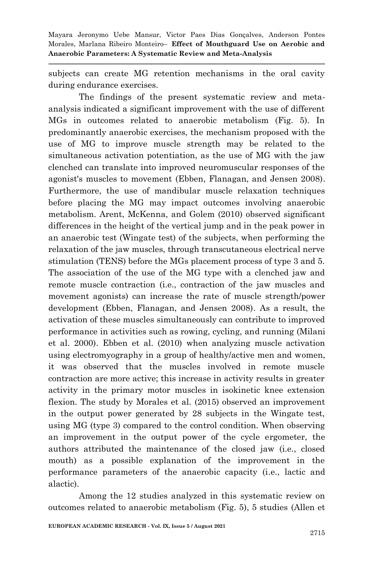subjects can create MG retention mechanisms in the oral cavity during endurance exercises.

The findings of the present systematic review and metaanalysis indicated a significant improvement with the use of different MGs in outcomes related to anaerobic metabolism (Fig. 5). In predominantly anaerobic exercises, the mechanism proposed with the use of MG to improve muscle strength may be related to the simultaneous activation potentiation, as the use of MG with the jaw clenched can translate into improved neuromuscular responses of the agonist's muscles to movement [\(Ebben, Flanagan, and Jensen 2008\).](https://paperpile.com/c/iWk1rM/WVmN) Furthermore, the use of mandibular muscle relaxation techniques before placing the MG may impact outcomes involving anaerobic metabolism. [Arent, McKenna, and Golem \(2010\)](https://paperpile.com/c/iWk1rM/2MtI) observed significant differences in the height of the vertical jump and in the peak power in an anaerobic test (Wingate test) of the subjects, when performing the relaxation of the jaw muscles, through transcutaneous electrical nerve stimulation (TENS) before the MGs placement process of type 3 and 5. The association of the use of the MG type with a clenched jaw and remote muscle contraction (i.e., contraction of the jaw muscles and movement agonists) can increase the rate of muscle strength/power development [\(Ebben, Flanagan, and Jensen 2008\).](https://paperpile.com/c/iWk1rM/WVmN) As a result, the activation of these muscles simultaneously can contribute to improved performance in activities such as rowing, cycling, and running [\(Milani](https://paperpile.com/c/iWk1rM/2PKJ)  [et al. 2000\).](https://paperpile.com/c/iWk1rM/2PKJ) [Ebben et al. \(2010\)](https://paperpile.com/c/iWk1rM/vcnc) when analyzing muscle activation using electromyography in a group of healthy/active men and women, it was observed that the muscles involved in remote muscle contraction are more active; this increase in activity results in greater activity in the primary motor muscles in isokinetic knee extension flexion. The study by [Morales et al. \(2015\)](https://paperpile.com/c/iWk1rM/BOpL) observed an improvement in the output power generated by 28 subjects in the Wingate test, using MG (type 3) compared to the control condition. When observing an improvement in the output power of the cycle ergometer, the authors attributed the maintenance of the closed jaw (i.e., closed mouth) as a possible explanation of the improvement in the performance parameters of the anaerobic capacity (i.e., lactic and alactic).

Among the 12 studies analyzed in this systematic review on outcomes related to anaerobic metabolism (Fig. 5), 5 studies [\(Allen et](https://paperpile.com/c/iWk1rM/Nr3t+l5nL+BOpL+f1Fb+nONB)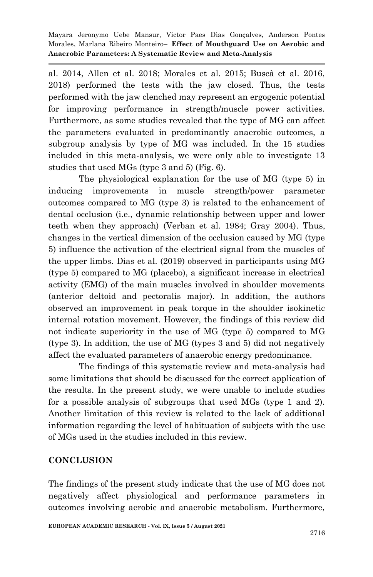[al. 2014, Allen et al. 2018; Morales et al. 2015; Buscà et al. 2016,](https://paperpile.com/c/iWk1rM/Nr3t+l5nL+BOpL+f1Fb+nONB)  [2018\)](https://paperpile.com/c/iWk1rM/Nr3t+l5nL+BOpL+f1Fb+nONB) performed the tests with the jaw closed. Thus, the tests performed with the jaw clenched may represent an ergogenic potential for improving performance in strength/muscle power activities. Furthermore, as some studies revealed that the type of MG can affect the parameters evaluated in predominantly anaerobic outcomes, a subgroup analysis by type of MG was included. In the 15 studies included in this meta-analysis, we were only able to investigate 13 studies that used MGs (type 3 and 5) (Fig. 6).

The physiological explanation for the use of MG (type 5) in inducing improvements in muscle strength/power parameter outcomes compared to MG (type 3) is related to the enhancement of dental occlusion (i.e., dynamic relationship between upper and lower teeth when they approach) [\(Verban et al. 1984; Gray 2004\).](https://paperpile.com/c/iWk1rM/U6DD+AcS2) Thus, changes in the vertical dimension of the occlusion caused by MG (type 5) influence the activation of the electrical signal from the muscles of the upper limbs. [Dias et al. \(2019\)](https://paperpile.com/c/iWk1rM/W1ka) observed in participants using MG (type 5) compared to MG (placebo), a significant increase in electrical activity (EMG) of the main muscles involved in shoulder movements (anterior deltoid and pectoralis major). In addition, the authors observed an improvement in peak torque in the shoulder isokinetic internal rotation movement. However, the findings of this review did not indicate superiority in the use of MG (type 5) compared to MG (type 3). In addition, the use of MG (types 3 and 5) did not negatively affect the evaluated parameters of anaerobic energy predominance.

The findings of this systematic review and meta-analysis had some limitations that should be discussed for the correct application of the results. In the present study, we were unable to include studies for a possible analysis of subgroups that used MGs (type 1 and 2). Another limitation of this review is related to the lack of additional information regarding the level of habituation of subjects with the use of MGs used in the studies included in this review.

## **CONCLUSION**

The findings of the present study indicate that the use of MG does not negatively affect physiological and performance parameters in outcomes involving aerobic and anaerobic metabolism. Furthermore,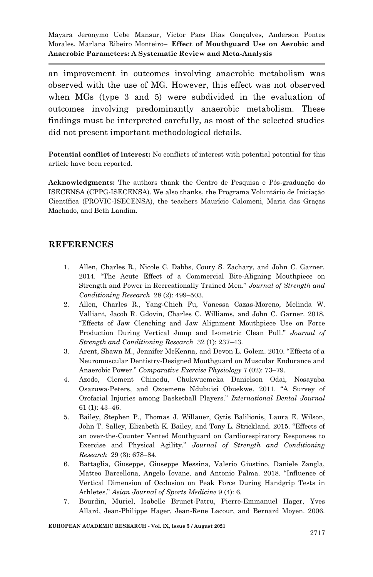an improvement in outcomes involving anaerobic metabolism was observed with the use of MG. However, this effect was not observed when MGs (type 3 and 5) were subdivided in the evaluation of outcomes involving predominantly anaerobic metabolism. These findings must be interpreted carefully, as most of the selected studies did not present important methodological details.

**Potential conflict of interest:** No conflicts of interest with potential potential for this article have been reported.

**Acknowledgments:** The authors thank the Centro de Pesquisa e Pós-graduação do ISECENSA (CPPG-ISECENSA). We also thanks, the Programa Voluntário de Iniciação Científica (PROVIC-ISECENSA), the teachers Maurício Calomeni, Maria das Graças Machado, and Beth Landim.

#### **REFERENCES**

- 1. [Allen, Charles R., Nicole C. Dabbs, Coury S. Zachary, and John C. Garner.](http://paperpile.com/b/iWk1rM/Nr3t)  [2014. ―The Acute Effect of a Commercial Bite](http://paperpile.com/b/iWk1rM/Nr3t)-Aligning Mouthpiece on [Strength and Power in Recreationally Trained Men.‖](http://paperpile.com/b/iWk1rM/Nr3t) *[Journal of Strength and](http://paperpile.com/b/iWk1rM/Nr3t)  [Conditioning Research](http://paperpile.com/b/iWk1rM/Nr3t)* [28 \(2\): 499](http://paperpile.com/b/iWk1rM/Nr3t)–503.
- 2. [Allen, Charles R., Yang-Chieh Fu, Vanessa Cazas-Moreno, Melinda W.](http://paperpile.com/b/iWk1rM/l5nL)  [Valliant, Jacob R. Gdovin, Charles C. Williams, and John C. Garner. 2018.](http://paperpile.com/b/iWk1rM/l5nL)  [―Effects of Jaw Clenching and Jaw Alignment Mouthpiece Use on Force](http://paperpile.com/b/iWk1rM/l5nL)  Production During Vertical Jump and Isometric Clean Pull." *Journal of [Strength and Conditioning Research](http://paperpile.com/b/iWk1rM/l5nL)* [32 \(1\): 237](http://paperpile.com/b/iWk1rM/l5nL)–43.
- 3. Arent, Shawn M., Jennifer McKenna, and Devon L. Golem. 2010. "Effects of a [Neuromuscular Dentistry-Designed Mouthguard on Muscular Endurance and](http://paperpile.com/b/iWk1rM/2MtI)  [Anaerobic Power.‖](http://paperpile.com/b/iWk1rM/2MtI) *[Comparative Exercise Physiology](http://paperpile.com/b/iWk1rM/2MtI)* [7 \(02\): 73](http://paperpile.com/b/iWk1rM/2MtI)–79.
- 4. [Azodo, Clement Chinedu, Chukwuemeka Danielson Odai, Nosayaba](http://paperpile.com/b/iWk1rM/sTtt)  [Osazuwa-Peters, and Ozoemene Ndubuisi Obuekwe.](http://paperpile.com/b/iWk1rM/sTtt) 2011. "A Survey of [Orofacial Injuries among Basketball Players.‖](http://paperpile.com/b/iWk1rM/sTtt) *[International Dental Journal](http://paperpile.com/b/iWk1rM/sTtt)* [61 \(1\): 43](http://paperpile.com/b/iWk1rM/sTtt)–46.
- 5. [Bailey, Stephen P., Thomas J. Willauer, Gytis Balilionis, Laura E. Wilson,](http://paperpile.com/b/iWk1rM/bcwI)  John T. Salley, Elizabeth K. Bailey, and Tony L. Strickland. 2015. "Effects of [an over-the-Counter Vented Mouthguard on Cardiorespiratory Responses to](http://paperpile.com/b/iWk1rM/bcwI)  [Exercise and Physical Agility.‖](http://paperpile.com/b/iWk1rM/bcwI) *[Journal of Strength and Conditioning](http://paperpile.com/b/iWk1rM/bcwI)  [Research](http://paperpile.com/b/iWk1rM/bcwI)* [29 \(3\): 678](http://paperpile.com/b/iWk1rM/bcwI)–84.
- 6. Battaglia, Giuseppe, Giuseppe [Messina, Valerio Giustino, Daniele Zangla,](http://paperpile.com/b/iWk1rM/RAC4)  [Matteo Barcellona, Angelo Iovane, and Antonio Palma.](http://paperpile.com/b/iWk1rM/RAC4) 2018. "Influence of [Vertical Dimension of Occlusion on Peak Force During Handgrip Tests in](http://paperpile.com/b/iWk1rM/RAC4)  [Athletes.‖](http://paperpile.com/b/iWk1rM/RAC4) *[Asian Journal of Sports Medicine](http://paperpile.com/b/iWk1rM/RAC4)* [9 \(4\): 6.](http://paperpile.com/b/iWk1rM/RAC4)
- 7. [Bourdin, Muriel, Isabelle Brunet-Patru, Pierre-Emmanuel Hager, Yves](http://paperpile.com/b/iWk1rM/dlKO)  [Allard, Jean-Philippe Hager, Jean-Rene Lacour, and Bernard Moyen. 2006.](http://paperpile.com/b/iWk1rM/dlKO)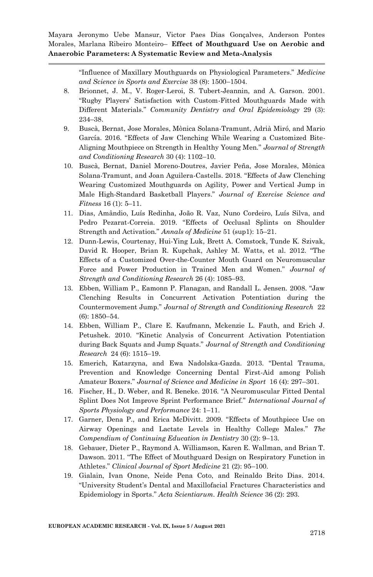> [―Influence of Maxillary Mouthguards on Physiological Parameters.‖](http://paperpile.com/b/iWk1rM/dlKO) *[Medicine](http://paperpile.com/b/iWk1rM/dlKO)  [and Science in Sports and Exercise](http://paperpile.com/b/iWk1rM/dlKO)* [38 \(8\): 1500](http://paperpile.com/b/iWk1rM/dlKO)–1504.

- 8. [Brionnet, J. M., V. Roger-Leroi, S. Tubert-Jeannin, and A. Garson. 2001.](http://paperpile.com/b/iWk1rM/xt2c)  "Rugby Players' Satisfaction with Custom-Fitted Mouthguards Made with [Different Materials.‖](http://paperpile.com/b/iWk1rM/xt2c) *[Community Dentistry and Oral Epidemiology](http://paperpile.com/b/iWk1rM/xt2c)* [29 \(3\):](http://paperpile.com/b/iWk1rM/xt2c)  [234](http://paperpile.com/b/iWk1rM/xt2c)–38.
- 9. [Buscà, Bernat, Jose Morales, Mònica Solana-Tramunt, Adrià](http://paperpile.com/b/iWk1rM/f1Fb) Miró, and Mario García. 2016. "Effects of Jaw Clenching While Wearing a Customized Bite-[Aligning Mouthpiece on Strength in Healthy Young Men.‖](http://paperpile.com/b/iWk1rM/f1Fb) *[Journal of Strength](http://paperpile.com/b/iWk1rM/f1Fb)  [and Conditioning Research](http://paperpile.com/b/iWk1rM/f1Fb)* [30 \(4\): 1102](http://paperpile.com/b/iWk1rM/f1Fb)–10.
- 10. [Buscà, Bernat, Daniel Moreno-Doutres, Javier Peña, Jose Morales, Mònica](http://paperpile.com/b/iWk1rM/nONB)  [Solana-Tramunt, and Joan Aguilera-](http://paperpile.com/b/iWk1rM/nONB)Castells. 2018. "Effects of Jaw Clenching [Wearing Customized Mouthguards on Agility, Power and Vertical Jump in](http://paperpile.com/b/iWk1rM/nONB)  Male High-[Standard Basketball Players.‖](http://paperpile.com/b/iWk1rM/nONB) *[Journal of Exercise Science and](http://paperpile.com/b/iWk1rM/nONB)  [Fitness](http://paperpile.com/b/iWk1rM/nONB)* [16 \(1\): 5](http://paperpile.com/b/iWk1rM/nONB)–11.
- 11. [Dias, Amândio, Luís Redinha, João R. Vaz, Nuno Cordeiro, Luís Silva, and](http://paperpile.com/b/iWk1rM/W1ka)  Pedro Pezarat-Correia. 2019. "Effects of Occlusal Splints on Shoulder [Strength and Activation.‖](http://paperpile.com/b/iWk1rM/W1ka) *[Annals of Medicine](http://paperpile.com/b/iWk1rM/W1ka)* [51 \(sup1\): 15](http://paperpile.com/b/iWk1rM/W1ka)–21.
- 12. [Dunn-Lewis, Courtenay, Hui-Ying Luk, Brett A. Comstock, Tunde K. Szivak,](http://paperpile.com/b/iWk1rM/HoHi)  David R. Hooper, Brian R. Kupchak, Ashley M. Watts, et al. 2012. "The [Effects of a Customized Over-the-Counter Mouth Guard on Neuromuscular](http://paperpile.com/b/iWk1rM/HoHi)  Force and Power Production in Trained Men and Women." Journal of *[Strength and Conditioning Research](http://paperpile.com/b/iWk1rM/HoHi)* [26 \(4\): 1085](http://paperpile.com/b/iWk1rM/HoHi)–93.
- 13. Ebben, William P., Eamonn P. Flanagan, and Randall L. Jensen. 2008. "Jaw [Clenching Results in Concurrent Activation Potentiation during the](http://paperpile.com/b/iWk1rM/WVmN)  [Countermovement Jump.‖](http://paperpile.com/b/iWk1rM/WVmN) *[Journal of Strength and Conditioning Research](http://paperpile.com/b/iWk1rM/WVmN)* [22](http://paperpile.com/b/iWk1rM/WVmN)  [\(6\): 1850](http://paperpile.com/b/iWk1rM/WVmN)–54.
- 14. [Ebben, William P., Clare E. Kaufmann, Mckenzie L. Fauth, and Erich J.](http://paperpile.com/b/iWk1rM/vcnc)  Petushek. 2010. "Kinetic Analysis of Concurrent Activation Potentiation [during Back Squats and Jump Squats.‖](http://paperpile.com/b/iWk1rM/vcnc) *[Journal of Strength and Conditioning](http://paperpile.com/b/iWk1rM/vcnc)  [Research](http://paperpile.com/b/iWk1rM/vcnc)* [24 \(6\): 1515](http://paperpile.com/b/iWk1rM/vcnc)–19.
- 15. [Emerich, Katarzyna, and Ewa Nadolska-](http://paperpile.com/b/iWk1rM/WTqz)Gazda. 2013. "Dental Trauma, [Prevention and Knowledge Concerning Dental First-Aid among Polish](http://paperpile.com/b/iWk1rM/WTqz)  [Amateur Boxers.‖](http://paperpile.com/b/iWk1rM/WTqz) *[Journal of Science and Medicine in Sport](http://paperpile.com/b/iWk1rM/WTqz)* [16 \(4\): 297](http://paperpile.com/b/iWk1rM/WTqz)–301.
- 16. Fischer, H., D. Weber, and R. Beneke. 2016. "A Neuromuscular Fitted Dental Splint Does Not Improve Sprint Performance Brief." *International Journal of [Sports Physiology and Performance](http://paperpile.com/b/iWk1rM/hJ0p)* [24: 1](http://paperpile.com/b/iWk1rM/hJ0p)–11.
- 17. Garner, Dena P., and Erica McDivitt. 2009. "Effects of Mouthpiece Use on Airway Openings and Lactate Levels in Healthy College Males." The *[Compendium of Continuing Education in Dentistry](http://paperpile.com/b/iWk1rM/MQ7h)* [30 \(2\): 9](http://paperpile.com/b/iWk1rM/MQ7h)–13.
- 18. [Gebauer, Dieter P., Raymond A. Williamson, Karen E. Wallman, and Brian T.](http://paperpile.com/b/iWk1rM/cV1s)  Dawson. 2011. "The Effect of Mouthguard Design on Respiratory Function in [Athletes.‖](http://paperpile.com/b/iWk1rM/cV1s) *[Clinical Journal of Sport Medicine](http://paperpile.com/b/iWk1rM/cV1s)* [21 \(2\): 95](http://paperpile.com/b/iWk1rM/cV1s)–100.
- 19. [Gialain, Ivan Onone, Neide Pena Coto, and Reinaldo Brito Dias. 2014.](http://paperpile.com/b/iWk1rM/kvkb)  [―University Student's Dental and Maxillofacial Fractures C](http://paperpile.com/b/iWk1rM/kvkb)haracteristics and [Epidemiology in Sports.‖](http://paperpile.com/b/iWk1rM/kvkb) *[Acta Scientiarum. Health Science](http://paperpile.com/b/iWk1rM/kvkb)* [36 \(2\): 293.](http://paperpile.com/b/iWk1rM/kvkb)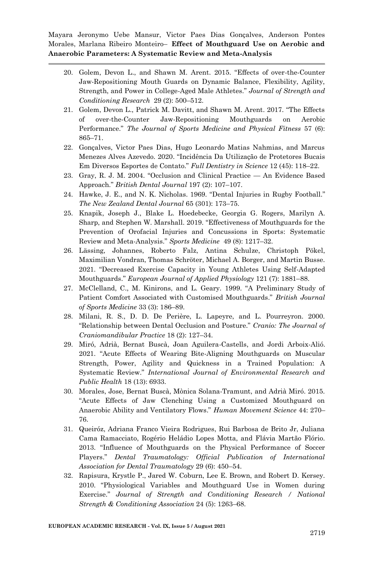- 20. Golem, Devon L., and Shawn M. Arent. 2015. "Effects of over-the-Counter [Jaw-Repositioning Mouth Guards on Dynamic Balance, Flexibility, Agility,](http://paperpile.com/b/iWk1rM/lWwg)  [Strength, and Power in College-](http://paperpile.com/b/iWk1rM/lWwg)Aged Male Athletes.‖ *[Journal of Strength and](http://paperpile.com/b/iWk1rM/lWwg)  [Conditioning Research](http://paperpile.com/b/iWk1rM/lWwg)* [29 \(2\): 500](http://paperpile.com/b/iWk1rM/lWwg)–512.
- 21. Golem, Devon L., Patrick M. Davitt, and Shawn M. Arent. 2017. "The Effects [of over-the-Counter Jaw-Repositioning Mouthguards on Aerobic](http://paperpile.com/b/iWk1rM/jB1S)  [Performance.‖](http://paperpile.com/b/iWk1rM/jB1S) *[The Journal of Sports Medicine and Physical Fitness](http://paperpile.com/b/iWk1rM/jB1S)* [57 \(6\):](http://paperpile.com/b/iWk1rM/jB1S)  [865](http://paperpile.com/b/iWk1rM/jB1S)–71.
- 22. [Gonçalves, Victor Paes Dias, Hugo Leonardo Matias Nahmias, and Marcus](http://paperpile.com/b/iWk1rM/rRrq)  Menezes Alves Azevedo. [2020. ―Incidência Da Utilização de Protetores Bucais](http://paperpile.com/b/iWk1rM/rRrq)  [Em Diversos Esportes de Contato.‖](http://paperpile.com/b/iWk1rM/rRrq) *[Full Dentistry in Science](http://paperpile.com/b/iWk1rM/rRrq)* [12 \(45\): 118](http://paperpile.com/b/iWk1rM/rRrq)–22.
- 23. Gray, R. J. M. 2004. "Occlusion and Clinical Practice An Evidence Based [Approach.‖](http://paperpile.com/b/iWk1rM/AcS2) *[British Dental Journal](http://paperpile.com/b/iWk1rM/AcS2)* [197 \(2\): 107](http://paperpile.com/b/iWk1rM/AcS2)–107.
- 24. Hawke, J. E., and N. K. Nicholas. 1969. "Dental Injuries in Rugby Football." *[The New Zealand Dental Journal](http://paperpile.com/b/iWk1rM/SkxM)* [65 \(301\): 173](http://paperpile.com/b/iWk1rM/SkxM)–75.
- 25. [Knapik, Joseph J., Blake L. Hoedebecke, Georgia G. Rogers, Marilyn A.](http://paperpile.com/b/iWk1rM/QsS6)  Sharp, and Stephen W. Marshall. 2019. "Effectiveness of Mouthguards for the [Prevention of Orofacial Injuries and Concussions in Sports: Systematic](http://paperpile.com/b/iWk1rM/QsS6)  [Review and Meta-](http://paperpile.com/b/iWk1rM/QsS6)Analysis.‖ *[Sports Medicine](http://paperpile.com/b/iWk1rM/QsS6)* [49 \(8\): 1217](http://paperpile.com/b/iWk1rM/QsS6)–32.
- 26. [Lässing, Johannes, Roberto Falz, Antina Schulze, Christoph Pökel,](http://paperpile.com/b/iWk1rM/TcbQ)  [Maximilian Vondran, Thomas Schröter, Michael A. Borger, and Martin Busse.](http://paperpile.com/b/iWk1rM/TcbQ)  2021. "Decreased Exercise Capacity in Young Athletes Using Self-Adapted [Mouthguards.‖](http://paperpile.com/b/iWk1rM/TcbQ) *[European Journal of Applied Physiology](http://paperpile.com/b/iWk1rM/TcbQ)* [121 \(7\): 1881](http://paperpile.com/b/iWk1rM/TcbQ)–88.
- 27. McClelland, C., M. Kinirons, and L. Geary. 1999. "A Preliminary Study of [Patient Comfort Associated with Customised Mouthguards.‖](http://paperpile.com/b/iWk1rM/Cpoz) *[British Journal](http://paperpile.com/b/iWk1rM/Cpoz)  [of Sports Medicine](http://paperpile.com/b/iWk1rM/Cpoz)* [33 \(3\): 186](http://paperpile.com/b/iWk1rM/Cpoz)–89.
- 28. [Milani, R. S., D. D. De Perière, L. Lapeyre, and L. Pourreyron. 2000.](http://paperpile.com/b/iWk1rM/2PKJ)  [―Relationship between Dental Occlusion and Posture.‖](http://paperpile.com/b/iWk1rM/2PKJ) *[Cranio: The Journal of](http://paperpile.com/b/iWk1rM/2PKJ)  [Craniomandibular Practice](http://paperpile.com/b/iWk1rM/2PKJ)* [18 \(2\): 127](http://paperpile.com/b/iWk1rM/2PKJ)–34.
- 29. [Miró, Adrià, Bernat Buscà, Joan Aguilera-Castells, and Jordi Arboix-Alió.](http://paperpile.com/b/iWk1rM/M7d9)  2021. "Acute Effects of Wearing Bite-Aligning Mouthguards on Muscular [Strength, Power, Agility and Quickness in a Trained Population: A](http://paperpile.com/b/iWk1rM/M7d9)  [Systematic Review.‖](http://paperpile.com/b/iWk1rM/M7d9) *[International Journal of Environmental Research and](http://paperpile.com/b/iWk1rM/M7d9)  [Public Health](http://paperpile.com/b/iWk1rM/M7d9)* [18 \(13\): 6933.](http://paperpile.com/b/iWk1rM/M7d9)
- 30. [Morales, Jose, Bernat Buscà, Mònica Solana-Tramunt, and Adrià Miró. 2015.](http://paperpile.com/b/iWk1rM/BOpL)  [―Acute Effects of Jaw Clenching Using a Customized Mouthguard on](http://paperpile.com/b/iWk1rM/BOpL)  [Anaerobic Ability and Ventilatory Flows.‖](http://paperpile.com/b/iWk1rM/BOpL) *[Human Movement Science](http://paperpile.com/b/iWk1rM/BOpL)* [44: 270](http://paperpile.com/b/iWk1rM/BOpL)– [76.](http://paperpile.com/b/iWk1rM/BOpL)
- 31. [Queiróz, Adriana Franco Vieira Rodrigues, Rui Barbosa de Brito Jr, Juliana](http://paperpile.com/b/iWk1rM/DdLF)  [Cama Ramacciato, Rogério Heládio Lopes Motta, and Flávia Martão Flório.](http://paperpile.com/b/iWk1rM/DdLF)  2013. "Influence of Mouthguards on the Physical Performance of Soccer [Players.‖](http://paperpile.com/b/iWk1rM/DdLF) *[Dental Traumatology: Official Publication of International](http://paperpile.com/b/iWk1rM/DdLF)  [Association for Dental Traumatology](http://paperpile.com/b/iWk1rM/DdLF)* [29 \(6\): 450](http://paperpile.com/b/iWk1rM/DdLF)–54.
- 32. [Rapisura, Krystle P., Jared W. Coburn, Lee E. Brown, and Robert D. Kersey.](http://paperpile.com/b/iWk1rM/xrGE)  2010. "Physiological Variables and Mouthguard Use in Women during [Exercise.‖](http://paperpile.com/b/iWk1rM/xrGE) *[Journal of Strength and Conditioning Research / National](http://paperpile.com/b/iWk1rM/xrGE)  [Strength & Conditioning Association](http://paperpile.com/b/iWk1rM/xrGE)* [24 \(5\): 1263](http://paperpile.com/b/iWk1rM/xrGE)–68.